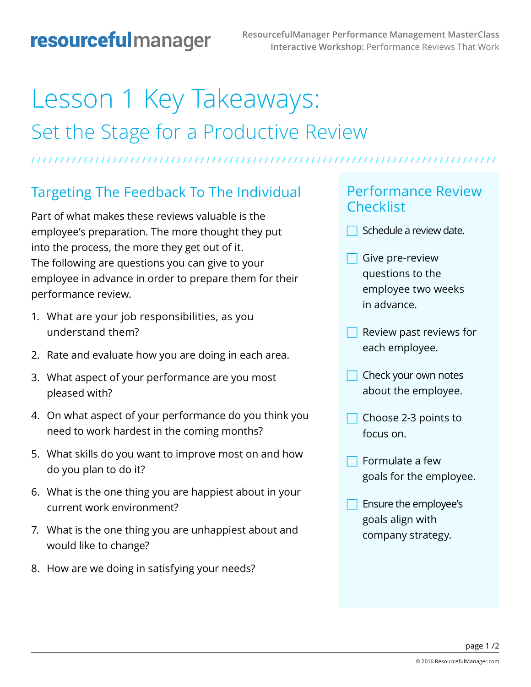# Lesson 1 Key Takeaways: Set the Stage for a Productive Review

**/ / / / / / / / / / / / / / / / / / / / / / / / / / / / / / / / / / / / / / / / / / / / / / / / / / / / / / / / / / / / / / / / / / / / / / / / / / / / / / / /** 

# Targeting The Feedback To The Individual

Part of what makes these reviews valuable is the employee's preparation. The more thought they put into the process, the more they get out of it. The following are questions you can give to your employee in advance in order to prepare them for their performance review.

- 1. What are your job responsibilities, as you understand them?
- 2. Rate and evaluate how you are doing in each area.
- 3. What aspect of your performance are you most pleased with?
- 4. On what aspect of your performance do you think you need to work hardest in the coming months?
- 5. What skills do you want to improve most on and how do you plan to do it?
- 6. What is the one thing you are happiest about in your current work environment?
- 7. What is the one thing you are unhappiest about and would like to change?
- 8. How are we doing in satisfying your needs?

#### Performance Review **Checklist**

- $\Box$  Schedule a review date.
- $\Box$  Give pre-review questions to the employee two weeks in advance.
- Review past reviews for each employee.
- $\Box$  Check your own notes about the employee.
- Choose 2-3 points to focus on.
- Formulate a few goals for the employee.
- F Ensure the employee's goals align with company strategy.